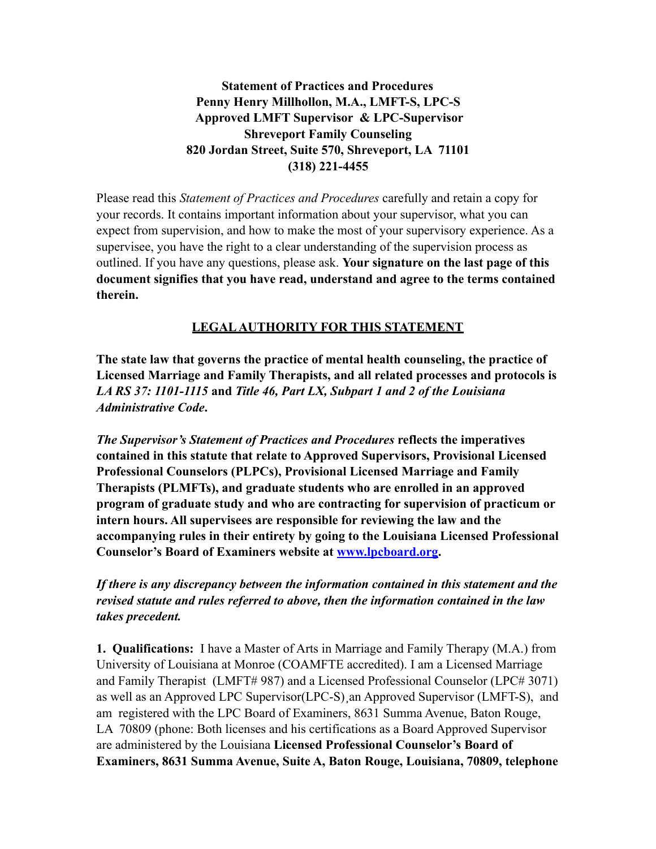**Statement of Practices and Procedures Penny Henry Millhollon, M.A., LMFT-S, LPC-S Approved LMFT Supervisor & LPC-Supervisor Shreveport Family Counseling 820 Jordan Street, Suite 570, Shreveport, LA 71101 (318) 221-4455** 

Please read this *Statement of Practices and Procedures* carefully and retain a copy for your records. It contains important information about your supervisor, what you can expect from supervision, and how to make the most of your supervisory experience. As a supervisee, you have the right to a clear understanding of the supervision process as outlined. If you have any questions, please ask. **Your signature on the last page of this document signifies that you have read, understand and agree to the terms contained therein.** 

# **LEGAL AUTHORITY FOR THIS STATEMENT**

**The state law that governs the practice of mental health counseling, the practice of Licensed Marriage and Family Therapists, and all related processes and protocols is**  *LA RS 37: 1101-1115* **and** *Title 46, Part LX, Subpart 1 and 2 of the Louisiana Administrative Code***.** 

*The Supervisor's Statement of Practices and Procedures* **reflects the imperatives contained in this statute that relate to Approved Supervisors, Provisional Licensed Professional Counselors (PLPCs), Provisional Licensed Marriage and Family Therapists (PLMFTs), and graduate students who are enrolled in an approved program of graduate study and who are contracting for supervision of practicum or intern hours. All supervisees are responsible for reviewing the law and the accompanying rules in their entirety by going to the Louisiana Licensed Professional Counselor's Board of Examiners website at [www.lpcboard.org](http://www.lpcboard.org).** 

*If there is any discrepancy between the information contained in this statement and the revised statute and rules referred to above, then the information contained in the law takes precedent.* 

**1. Qualifications:** I have a Master of Arts in Marriage and Family Therapy (M.A.) from University of Louisiana at Monroe (COAMFTE accredited). I am a Licensed Marriage and Family Therapist (LMFT# 987) and a Licensed Professional Counselor (LPC# 3071) as well as an Approved LPC Supervisor(LPC-S)¸an Approved Supervisor (LMFT-S), and am registered with the LPC Board of Examiners, 8631 Summa Avenue, Baton Rouge, LA 70809 (phone: Both licenses and his certifications as a Board Approved Supervisor are administered by the Louisiana **Licensed Professional Counselor's Board of Examiners, 8631 Summa Avenue, Suite A, Baton Rouge, Louisiana, 70809, telephone**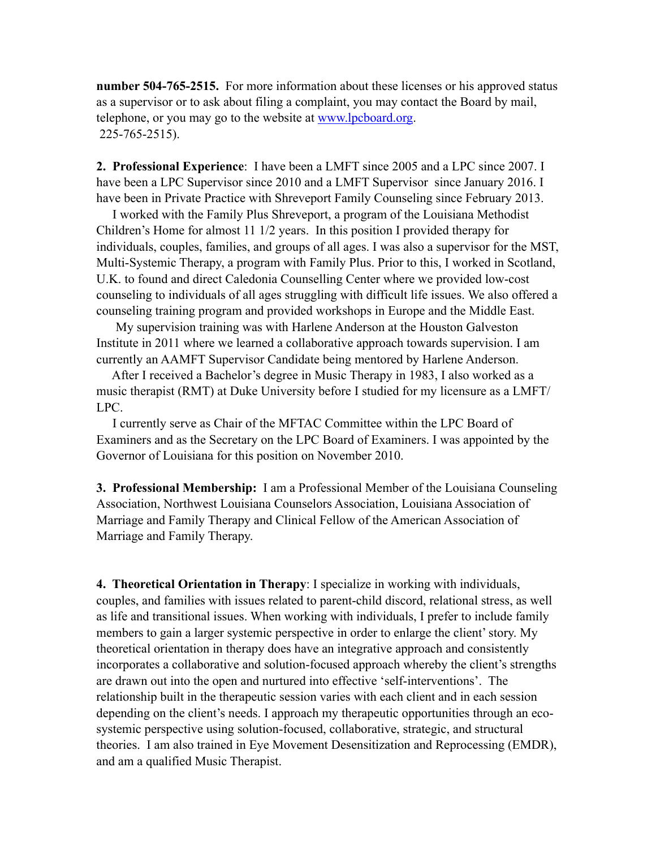**number 504-765-2515.** For more information about these licenses or his approved status as a supervisor or to ask about filing a complaint, you may contact the Board by mail, telephone, or you may go to the website at [www.lpcboard.org.](http://www.lpcboard.org) 225-765-2515).

**2. Professional Experience**: I have been a LMFT since 2005 and a LPC since 2007. I have been a LPC Supervisor since 2010 and a LMFT Supervisor since January 2016. I have been in Private Practice with Shreveport Family Counseling since February 2013.

 I worked with the Family Plus Shreveport, a program of the Louisiana Methodist Children's Home for almost 11 1/2 years. In this position I provided therapy for individuals, couples, families, and groups of all ages. I was also a supervisor for the MST, Multi-Systemic Therapy, a program with Family Plus. Prior to this, I worked in Scotland, U.K. to found and direct Caledonia Counselling Center where we provided low-cost counseling to individuals of all ages struggling with difficult life issues. We also offered a counseling training program and provided workshops in Europe and the Middle East.

 My supervision training was with Harlene Anderson at the Houston Galveston Institute in 2011 where we learned a collaborative approach towards supervision. I am currently an AAMFT Supervisor Candidate being mentored by Harlene Anderson.

 After I received a Bachelor's degree in Music Therapy in 1983, I also worked as a music therapist (RMT) at Duke University before I studied for my licensure as a LMFT/ LPC.

 I currently serve as Chair of the MFTAC Committee within the LPC Board of Examiners and as the Secretary on the LPC Board of Examiners. I was appointed by the Governor of Louisiana for this position on November 2010.

**3. Professional Membership:** I am a Professional Member of the Louisiana Counseling Association, Northwest Louisiana Counselors Association, Louisiana Association of Marriage and Family Therapy and Clinical Fellow of the American Association of Marriage and Family Therapy.

**4. Theoretical Orientation in Therapy**: I specialize in working with individuals, couples, and families with issues related to parent-child discord, relational stress, as well as life and transitional issues. When working with individuals, I prefer to include family members to gain a larger systemic perspective in order to enlarge the client' story. My theoretical orientation in therapy does have an integrative approach and consistently incorporates a collaborative and solution-focused approach whereby the client's strengths are drawn out into the open and nurtured into effective 'self-interventions'. The relationship built in the therapeutic session varies with each client and in each session depending on the client's needs. I approach my therapeutic opportunities through an ecosystemic perspective using solution-focused, collaborative, strategic, and structural theories. I am also trained in Eye Movement Desensitization and Reprocessing (EMDR), and am a qualified Music Therapist.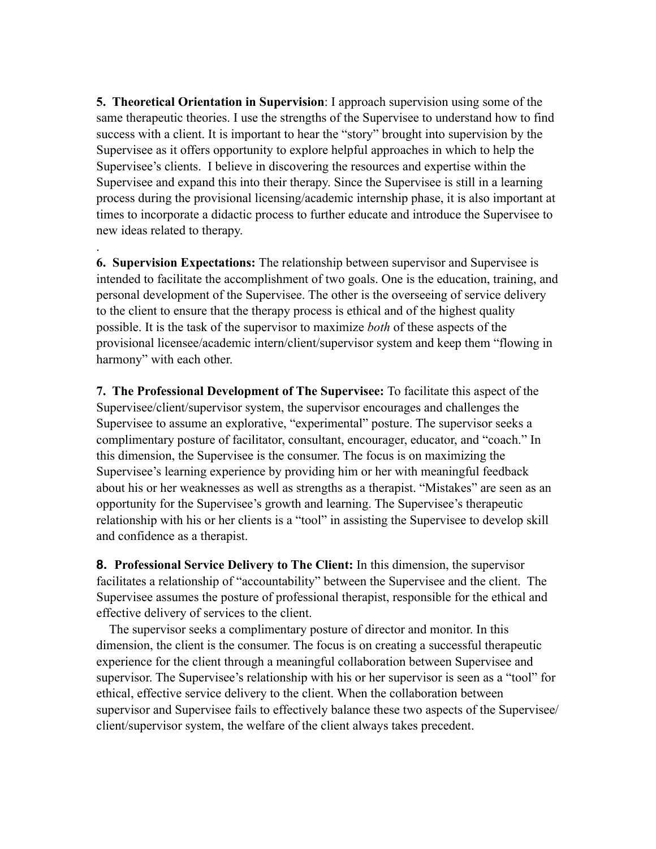**5. Theoretical Orientation in Supervision**: I approach supervision using some of the same therapeutic theories. I use the strengths of the Supervisee to understand how to find success with a client. It is important to hear the "story" brought into supervision by the Supervisee as it offers opportunity to explore helpful approaches in which to help the Supervisee's clients. I believe in discovering the resources and expertise within the Supervisee and expand this into their therapy. Since the Supervisee is still in a learning process during the provisional licensing/academic internship phase, it is also important at times to incorporate a didactic process to further educate and introduce the Supervisee to new ideas related to therapy.

**6. Supervision Expectations:** The relationship between supervisor and Supervisee is intended to facilitate the accomplishment of two goals. One is the education, training, and personal development of the Supervisee. The other is the overseeing of service delivery to the client to ensure that the therapy process is ethical and of the highest quality possible. It is the task of the supervisor to maximize *both* of these aspects of the provisional licensee/academic intern/client/supervisor system and keep them "flowing in harmony" with each other.

.

**7. The Professional Development of The Supervisee:** To facilitate this aspect of the Supervisee/client/supervisor system, the supervisor encourages and challenges the Supervisee to assume an explorative, "experimental" posture. The supervisor seeks a complimentary posture of facilitator, consultant, encourager, educator, and "coach." In this dimension, the Supervisee is the consumer. The focus is on maximizing the Supervisee's learning experience by providing him or her with meaningful feedback about his or her weaknesses as well as strengths as a therapist. "Mistakes" are seen as an opportunity for the Supervisee's growth and learning. The Supervisee's therapeutic relationship with his or her clients is a "tool" in assisting the Supervisee to develop skill and confidence as a therapist.

**8. Professional Service Delivery to The Client:** In this dimension, the supervisor facilitates a relationship of "accountability" between the Supervisee and the client. The Supervisee assumes the posture of professional therapist, responsible for the ethical and effective delivery of services to the client.

 The supervisor seeks a complimentary posture of director and monitor. In this dimension, the client is the consumer. The focus is on creating a successful therapeutic experience for the client through a meaningful collaboration between Supervisee and supervisor. The Supervisee's relationship with his or her supervisor is seen as a "tool" for ethical, effective service delivery to the client. When the collaboration between supervisor and Supervisee fails to effectively balance these two aspects of the Supervisee/ client/supervisor system, the welfare of the client always takes precedent.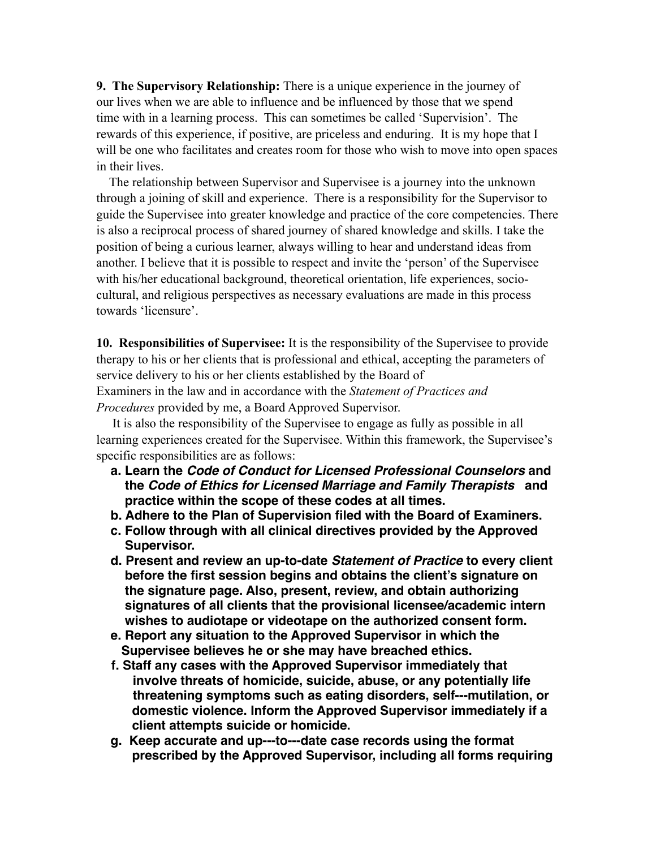**9. The Supervisory Relationship:** There is a unique experience in the journey of our lives when we are able to influence and be influenced by those that we spend time with in a learning process. This can sometimes be called 'Supervision'. The rewards of this experience, if positive, are priceless and enduring. It is my hope that I will be one who facilitates and creates room for those who wish to move into open spaces in their lives.

 The relationship between Supervisor and Supervisee is a journey into the unknown through a joining of skill and experience. There is a responsibility for the Supervisor to guide the Supervisee into greater knowledge and practice of the core competencies. There is also a reciprocal process of shared journey of shared knowledge and skills. I take the position of being a curious learner, always willing to hear and understand ideas from another. I believe that it is possible to respect and invite the 'person' of the Supervisee with his/her educational background, theoretical orientation, life experiences, sociocultural, and religious perspectives as necessary evaluations are made in this process towards 'licensure'.

**10. Responsibilities of Supervisee:** It is the responsibility of the Supervisee to provide therapy to his or her clients that is professional and ethical, accepting the parameters of service delivery to his or her clients established by the Board of Examiners in the law and in accordance with the *Statement of Practices and* 

*Procedures* provided by me, a Board Approved Supervisor.

 It is also the responsibility of the Supervisee to engage as fully as possible in all learning experiences created for the Supervisee. Within this framework, the Supervisee's specific responsibilities are as follows:

- **a. Learn the** *Code of Conduct for Licensed Professional Counselors* **and the** *Code of Ethics for Licensed Marriage and Family Therapists* **and practice within the scope of these codes at all times.**
- **b. Adhere to the Plan of Supervision filed with the Board of Examiners.**
- **c. Follow through with all clinical directives provided by the Approved Supervisor.**
- **d. Present and review an up-to-date** *Statement of Practice* **to every client before the first session begins and obtains the client's signature on the signature page. Also, present, review, and obtain authorizing signatures of all clients that the provisional licensee/academic intern wishes to audiotape or videotape on the authorized consent form.**
- **e. Report any situation to the Approved Supervisor in which the Supervisee believes he or she may have breached ethics.**
- **f. Staff any cases with the Approved Supervisor immediately that involve threats of homicide, suicide, abuse, or any potentially life threatening symptoms such as eating disorders, self--‐mutilation, or domestic violence. Inform the Approved Supervisor immediately if a client attempts suicide or homicide.**
- **g. Keep accurate and up--‐to--‐date case records using the format prescribed by the Approved Supervisor, including all forms requiring**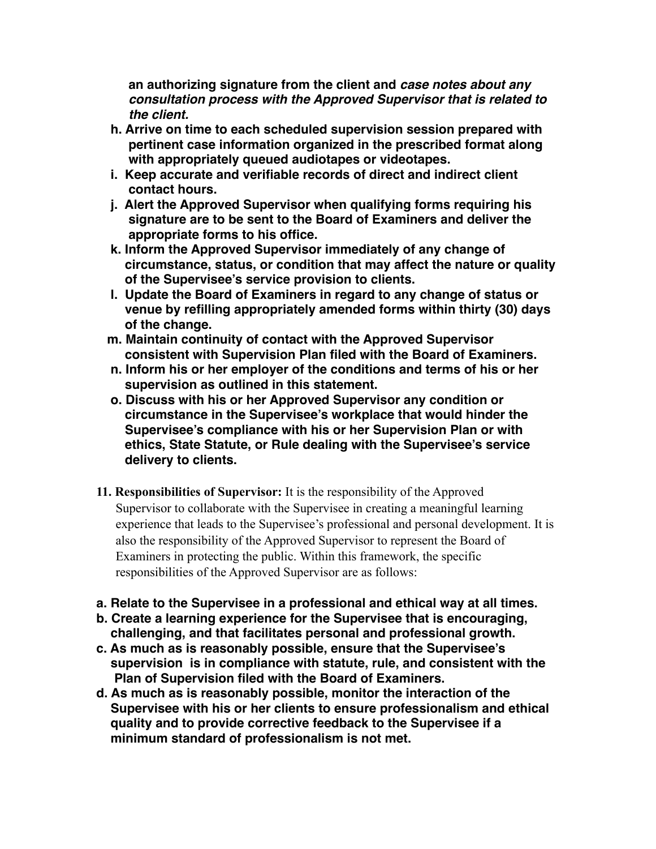**an authorizing signature from the client and** *case notes about any consultation process with the Approved Supervisor that is related to the client.* 

- **h. Arrive on time to each scheduled supervision session prepared with pertinent case information organized in the prescribed format along with appropriately queued audiotapes or videotapes.**
- **i. Keep accurate and verifiable records of direct and indirect client contact hours.**
- **j. Alert the Approved Supervisor when qualifying forms requiring his signature are to be sent to the Board of Examiners and deliver the appropriate forms to his office.**
- **k. Inform the Approved Supervisor immediately of any change of circumstance, status, or condition that may affect the nature or quality of the Supervisee's service provision to clients.**
- **l. Update the Board of Examiners in regard to any change of status or venue by refilling appropriately amended forms within thirty (30) days of the change.**
- **m. Maintain continuity of contact with the Approved Supervisor consistent with Supervision Plan filed with the Board of Examiners.**
- **n. Inform his or her employer of the conditions and terms of his or her supervision as outlined in this statement.**
- **o. Discuss with his or her Approved Supervisor any condition or circumstance in the Supervisee's workplace that would hinder the Supervisee's compliance with his or her Supervision Plan or with ethics, State Statute, or Rule dealing with the Supervisee's service delivery to clients.**
- **11. Responsibilities of Supervisor:** It is the responsibility of the Approved Supervisor to collaborate with the Supervisee in creating a meaningful learning experience that leads to the Supervisee's professional and personal development. It is also the responsibility of the Approved Supervisor to represent the Board of Examiners in protecting the public. Within this framework, the specific responsibilities of the Approved Supervisor are as follows:
- **a. Relate to the Supervisee in a professional and ethical way at all times.**
- **b. Create a learning experience for the Supervisee that is encouraging, challenging, and that facilitates personal and professional growth.**
- **c. As much as is reasonably possible, ensure that the Supervisee's supervision is in compliance with statute, rule, and consistent with the Plan of Supervision filed with the Board of Examiners.**
- **d. As much as is reasonably possible, monitor the interaction of the Supervisee with his or her clients to ensure professionalism and ethical quality and to provide corrective feedback to the Supervisee if a minimum standard of professionalism is not met.**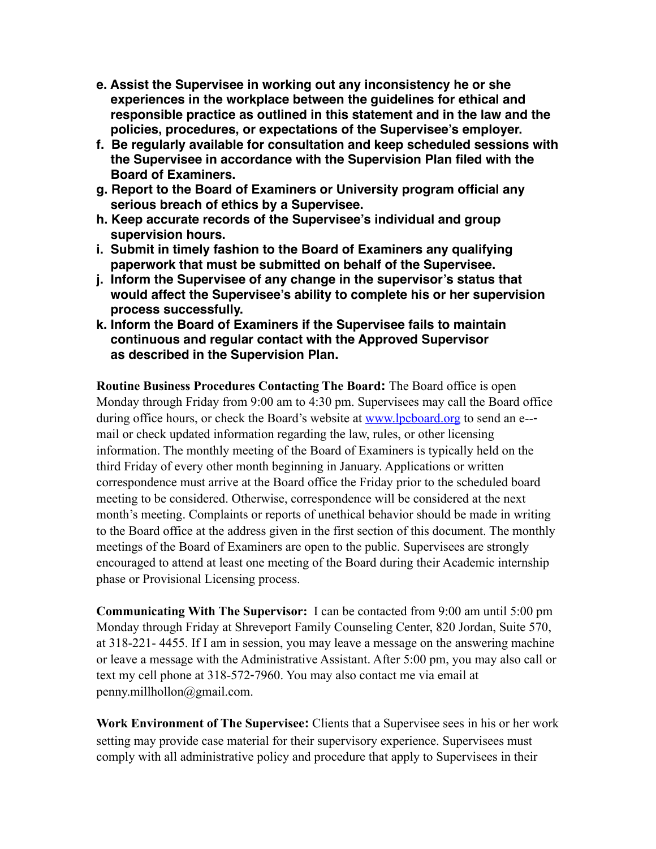- **e. Assist the Supervisee in working out any inconsistency he or she experiences in the workplace between the guidelines for ethical and responsible practice as outlined in this statement and in the law and the policies, procedures, or expectations of the Supervisee's employer.**
- **f. Be regularly available for consultation and keep scheduled sessions with the Supervisee in accordance with the Supervision Plan filed with the Board of Examiners.**
- **g. Report to the Board of Examiners or University program official any serious breach of ethics by a Supervisee.**
- **h. Keep accurate records of the Supervisee's individual and group supervision hours.**
- **i. Submit in timely fashion to the Board of Examiners any qualifying paperwork that must be submitted on behalf of the Supervisee.**
- **j. Inform the Supervisee of any change in the supervisor's status that would affect the Supervisee's ability to complete his or her supervision process successfully.**
- **k. Inform the Board of Examiners if the Supervisee fails to maintain continuous and regular contact with the Approved Supervisor as described in the Supervision Plan.**

**Routine Business Procedures Contacting The Board:** The Board office is open Monday through Friday from 9:00 am to 4:30 pm. Supervisees may call the Board office during office hours, or check the Board's website at [www.lpcboard.org](http://www.lpcboard.org) to send an e--mail or check updated information regarding the law, rules, or other licensing information. The monthly meeting of the Board of Examiners is typically held on the third Friday of every other month beginning in January. Applications or written correspondence must arrive at the Board office the Friday prior to the scheduled board meeting to be considered. Otherwise, correspondence will be considered at the next month's meeting. Complaints or reports of unethical behavior should be made in writing to the Board office at the address given in the first section of this document. The monthly meetings of the Board of Examiners are open to the public. Supervisees are strongly encouraged to attend at least one meeting of the Board during their Academic internship phase or Provisional Licensing process.

**Communicating With The Supervisor:** I can be contacted from 9:00 am until 5:00 pm Monday through Friday at Shreveport Family Counseling Center, 820 Jordan, Suite 570, at 318-221- 4455. If I am in session, you may leave a message on the answering machine or leave a message with the Administrative Assistant. After 5:00 pm, you may also call or text my cell phone at 318-572‐7960. You may also contact me via email at penny.millhollon@gmail.com.

**Work Environment of The Supervisee:** Clients that a Supervisee sees in his or her work setting may provide case material for their supervisory experience. Supervisees must comply with all administrative policy and procedure that apply to Supervisees in their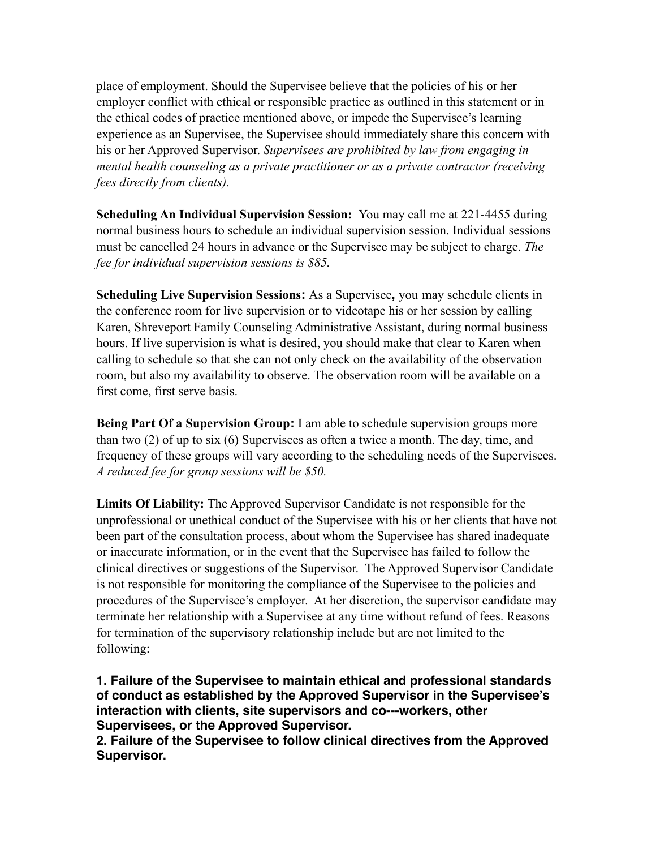place of employment. Should the Supervisee believe that the policies of his or her employer conflict with ethical or responsible practice as outlined in this statement or in the ethical codes of practice mentioned above, or impede the Supervisee's learning experience as an Supervisee, the Supervisee should immediately share this concern with his or her Approved Supervisor. *Supervisees are prohibited by law from engaging in mental health counseling as a private practitioner or as a private contractor (receiving fees directly from clients).* 

**Scheduling An Individual Supervision Session:** You may call me at 221-4455 during normal business hours to schedule an individual supervision session. Individual sessions must be cancelled 24 hours in advance or the Supervisee may be subject to charge. *The fee for individual supervision sessions is \$85.* 

**Scheduling Live Supervision Sessions:** As a Supervisee**,** you may schedule clients in the conference room for live supervision or to videotape his or her session by calling Karen, Shreveport Family Counseling Administrative Assistant, during normal business hours. If live supervision is what is desired, you should make that clear to Karen when calling to schedule so that she can not only check on the availability of the observation room, but also my availability to observe. The observation room will be available on a first come, first serve basis.

**Being Part Of a Supervision Group:** I am able to schedule supervision groups more than two (2) of up to six (6) Supervisees as often a twice a month. The day, time, and frequency of these groups will vary according to the scheduling needs of the Supervisees. *A reduced fee for group sessions will be \$50.*

**Limits Of Liability:** The Approved Supervisor Candidate is not responsible for the unprofessional or unethical conduct of the Supervisee with his or her clients that have not been part of the consultation process, about whom the Supervisee has shared inadequate or inaccurate information, or in the event that the Supervisee has failed to follow the clinical directives or suggestions of the Supervisor. The Approved Supervisor Candidate is not responsible for monitoring the compliance of the Supervisee to the policies and procedures of the Supervisee's employer. At her discretion, the supervisor candidate may terminate her relationship with a Supervisee at any time without refund of fees. Reasons for termination of the supervisory relationship include but are not limited to the following:

**1. Failure of the Supervisee to maintain ethical and professional standards of conduct as established by the Approved Supervisor in the Supervisee's interaction with clients, site supervisors and co--‐workers, other Supervisees, or the Approved Supervisor.** 

**2. Failure of the Supervisee to follow clinical directives from the Approved Supervisor.**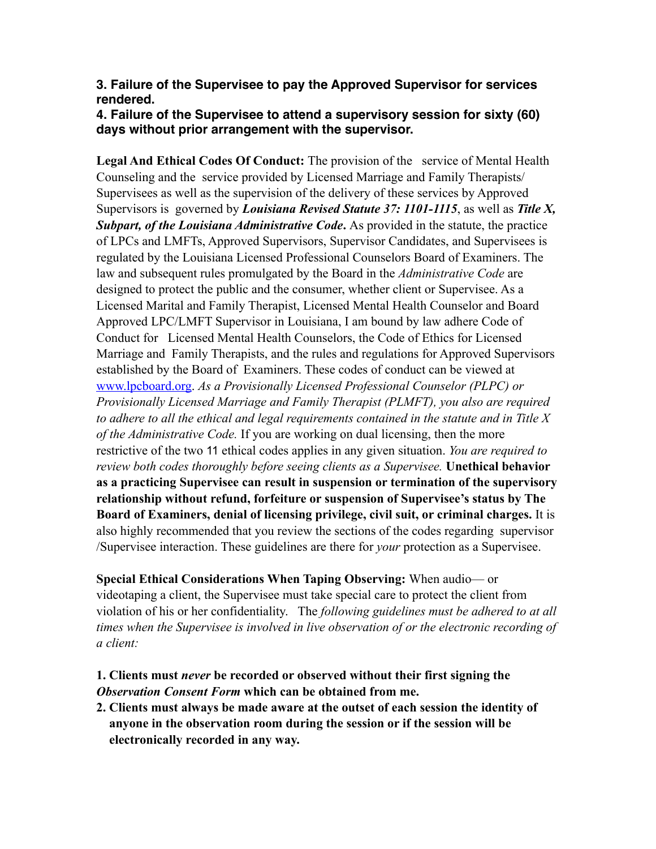## **3. Failure of the Supervisee to pay the Approved Supervisor for services rendered.**

# **4. Failure of the Supervisee to attend a supervisory session for sixty (60) days without prior arrangement with the supervisor.**

**Legal And Ethical Codes Of Conduct:** The provision of the service of Mental Health Counseling and the service provided by Licensed Marriage and Family Therapists/ Supervisees as well as the supervision of the delivery of these services by Approved Supervisors is governed by *Louisiana Revised Statute 37: 1101-1115*, as well as *Title X, Subpart, of the Louisiana Administrative Code***.** As provided in the statute, the practice of LPCs and LMFTs, Approved Supervisors, Supervisor Candidates, and Supervisees is regulated by the Louisiana Licensed Professional Counselors Board of Examiners. The law and subsequent rules promulgated by the Board in the *Administrative Code* are designed to protect the public and the consumer, whether client or Supervisee. As a Licensed Marital and Family Therapist, Licensed Mental Health Counselor and Board Approved LPC/LMFT Supervisor in Louisiana, I am bound by law adhere Code of Conduct for Licensed Mental Health Counselors, the Code of Ethics for Licensed Marriage and Family Therapists, and the rules and regulations for Approved Supervisors established by the Board of Examiners. These codes of conduct can be viewed at [www.lpcboard.org.](http://www.lpcboard.org) *As a Provisionally Licensed Professional Counselor (PLPC) or Provisionally Licensed Marriage and Family Therapist (PLMFT), you also are required to adhere to all the ethical and legal requirements contained in the statute and in Title X of the Administrative Code.* If you are working on dual licensing, then the more restrictive of the two 11 ethical codes applies in any given situation. *You are required to review both codes thoroughly before seeing clients as a Supervisee.* **Unethical behavior as a practicing Supervisee can result in suspension or termination of the supervisory relationship without refund, forfeiture or suspension of Supervisee's status by The Board of Examiners, denial of licensing privilege, civil suit, or criminal charges.** It is also highly recommended that you review the sections of the codes regarding supervisor /Supervisee interaction. These guidelines are there for *your* protection as a Supervisee.

**Special Ethical Considerations When Taping Observing:** When audio— or videotaping a client, the Supervisee must take special care to protect the client from violation of his or her confidentiality. The *following guidelines must be adhered to at all times when the Supervisee is involved in live observation of or the electronic recording of a client:* 

# **1. Clients must** *never* **be recorded or observed without their first signing the**  *Observation Consent Form* **which can be obtained from me.**

**2. Clients must always be made aware at the outset of each session the identity of anyone in the observation room during the session or if the session will be electronically recorded in any way.**